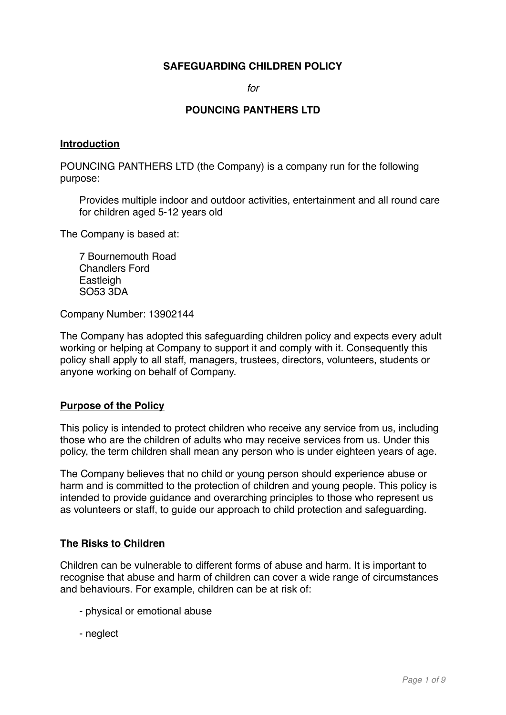# **SAFEGUARDING CHILDREN POLICY**

*for*

# **POUNCING PANTHERS LTD**

#### **Introduction**

POUNCING PANTHERS LTD (the Company) is a company run for the following purpose:

Provides multiple indoor and outdoor activities, entertainment and all round care for children aged 5-12 years old

The Company is based at:

7 Bournemouth Road Chandlers Ford **Eastleigh** SO53 3DA

Company Number: 13902144

The Company has adopted this safeguarding children policy and expects every adult working or helping at Company to support it and comply with it. Consequently this policy shall apply to all staff, managers, trustees, directors, volunteers, students or anyone working on behalf of Company.

## **Purpose of the Policy**

This policy is intended to protect children who receive any service from us, including those who are the children of adults who may receive services from us. Under this policy, the term children shall mean any person who is under eighteen years of age.

The Company believes that no child or young person should experience abuse or harm and is committed to the protection of children and young people. This policy is intended to provide guidance and overarching principles to those who represent us as volunteers or staff, to guide our approach to child protection and safeguarding.

## **The Risks to Children**

Children can be vulnerable to different forms of abuse and harm. It is important to recognise that abuse and harm of children can cover a wide range of circumstances and behaviours. For example, children can be at risk of:

- physical or emotional abuse
- neglect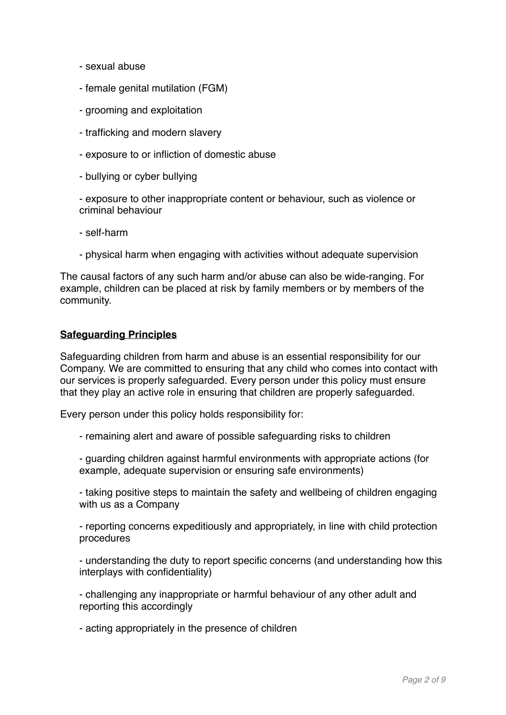- sexual abuse
- female genital mutilation (FGM)
- grooming and exploitation
- trafficking and modern slavery
- exposure to or infliction of domestic abuse
- bullying or cyber bullying

- exposure to other inappropriate content or behaviour, such as violence or criminal behaviour

- self-harm
- physical harm when engaging with activities without adequate supervision

The causal factors of any such harm and/or abuse can also be wide-ranging. For example, children can be placed at risk by family members or by members of the community.

### **Safeguarding Principles**

Safeguarding children from harm and abuse is an essential responsibility for our Company. We are committed to ensuring that any child who comes into contact with our services is properly safeguarded. Every person under this policy must ensure that they play an active role in ensuring that children are properly safeguarded.

Every person under this policy holds responsibility for:

- remaining alert and aware of possible safeguarding risks to children

- guarding children against harmful environments with appropriate actions (for example, adequate supervision or ensuring safe environments)

- taking positive steps to maintain the safety and wellbeing of children engaging with us as a Company

- reporting concerns expeditiously and appropriately, in line with child protection procedures

- understanding the duty to report specific concerns (and understanding how this interplays with confidentiality)

- challenging any inappropriate or harmful behaviour of any other adult and reporting this accordingly

- acting appropriately in the presence of children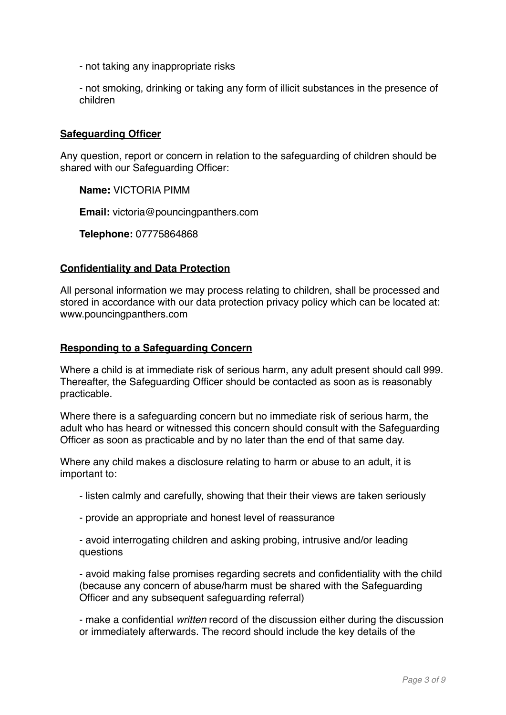- not taking any inappropriate risks

- not smoking, drinking or taking any form of illicit substances in the presence of children

### **Safeguarding Officer**

Any question, report or concern in relation to the safeguarding of children should be shared with our Safeguarding Officer:

**Name:** VICTORIA PIMM

**Email:** victoria@pouncingpanthers.com

**Telephone:** 07775864868

### **Confidentiality and Data Protection**

All personal information we may process relating to children, shall be processed and stored in accordance with our data protection privacy policy which can be located at: www.pouncingpanthers.com

### **Responding to a Safeguarding Concern**

Where a child is at immediate risk of serious harm, any adult present should call 999. Thereafter, the Safeguarding Officer should be contacted as soon as is reasonably practicable.

Where there is a safeguarding concern but no immediate risk of serious harm, the adult who has heard or witnessed this concern should consult with the Safeguarding Officer as soon as practicable and by no later than the end of that same day.

Where any child makes a disclosure relating to harm or abuse to an adult, it is important to:

- listen calmly and carefully, showing that their their views are taken seriously

- provide an appropriate and honest level of reassurance

- avoid interrogating children and asking probing, intrusive and/or leading questions

- avoid making false promises regarding secrets and confidentiality with the child (because any concern of abuse/harm must be shared with the Safeguarding Officer and any subsequent safeguarding referral)

- make a confidential *written* record of the discussion either during the discussion or immediately afterwards. The record should include the key details of the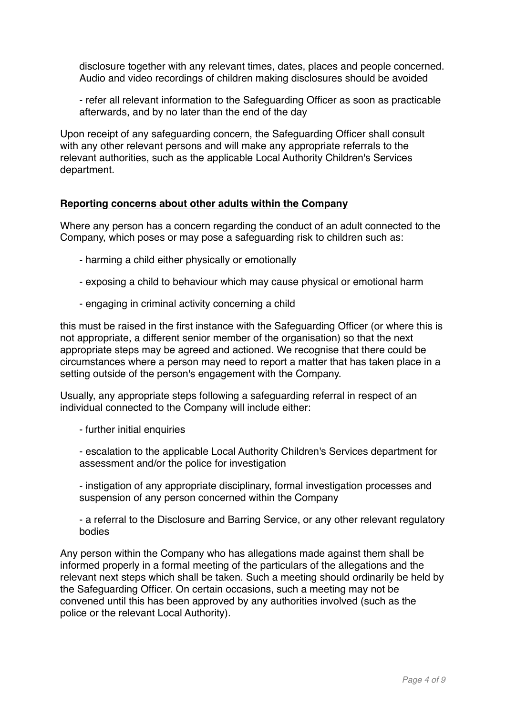disclosure together with any relevant times, dates, places and people concerned. Audio and video recordings of children making disclosures should be avoided

- refer all relevant information to the Safeguarding Officer as soon as practicable afterwards, and by no later than the end of the day

Upon receipt of any safeguarding concern, the Safeguarding Officer shall consult with any other relevant persons and will make any appropriate referrals to the relevant authorities, such as the applicable Local Authority Children's Services department.

### **Reporting concerns about other adults within the Company**

Where any person has a concern regarding the conduct of an adult connected to the Company, which poses or may pose a safeguarding risk to children such as:

- harming a child either physically or emotionally
- exposing a child to behaviour which may cause physical or emotional harm
- engaging in criminal activity concerning a child

this must be raised in the first instance with the Safeguarding Officer (or where this is not appropriate, a different senior member of the organisation) so that the next appropriate steps may be agreed and actioned. We recognise that there could be circumstances where a person may need to report a matter that has taken place in a setting outside of the person's engagement with the Company.

Usually, any appropriate steps following a safeguarding referral in respect of an individual connected to the Company will include either:

- further initial enquiries

- escalation to the applicable Local Authority Children's Services department for assessment and/or the police for investigation

- instigation of any appropriate disciplinary, formal investigation processes and suspension of any person concerned within the Company

- a referral to the Disclosure and Barring Service, or any other relevant regulatory bodies

Any person within the Company who has allegations made against them shall be informed properly in a formal meeting of the particulars of the allegations and the relevant next steps which shall be taken. Such a meeting should ordinarily be held by the Safeguarding Officer. On certain occasions, such a meeting may not be convened until this has been approved by any authorities involved (such as the police or the relevant Local Authority).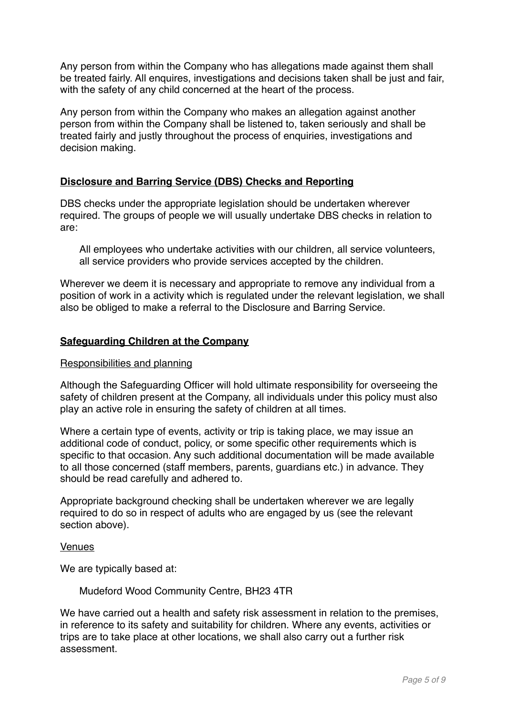Any person from within the Company who has allegations made against them shall be treated fairly. All enquires, investigations and decisions taken shall be just and fair, with the safety of any child concerned at the heart of the process.

Any person from within the Company who makes an allegation against another person from within the Company shall be listened to, taken seriously and shall be treated fairly and justly throughout the process of enquiries, investigations and decision making.

# **Disclosure and Barring Service (DBS) Checks and Reporting**

DBS checks under the appropriate legislation should be undertaken wherever required. The groups of people we will usually undertake DBS checks in relation to are:

All employees who undertake activities with our children, all service volunteers, all service providers who provide services accepted by the children.

Wherever we deem it is necessary and appropriate to remove any individual from a position of work in a activity which is regulated under the relevant legislation, we shall also be obliged to make a referral to the Disclosure and Barring Service.

# **Safeguarding Children at the Company**

## Responsibilities and planning

Although the Safeguarding Officer will hold ultimate responsibility for overseeing the safety of children present at the Company, all individuals under this policy must also play an active role in ensuring the safety of children at all times.

Where a certain type of events, activity or trip is taking place, we may issue an additional code of conduct, policy, or some specific other requirements which is specific to that occasion. Any such additional documentation will be made available to all those concerned (staff members, parents, guardians etc.) in advance. They should be read carefully and adhered to.

Appropriate background checking shall be undertaken wherever we are legally required to do so in respect of adults who are engaged by us (see the relevant section above).

#### **Venues**

We are typically based at:

Mudeford Wood Community Centre, BH23 4TR

We have carried out a health and safety risk assessment in relation to the premises, in reference to its safety and suitability for children. Where any events, activities or trips are to take place at other locations, we shall also carry out a further risk assessment.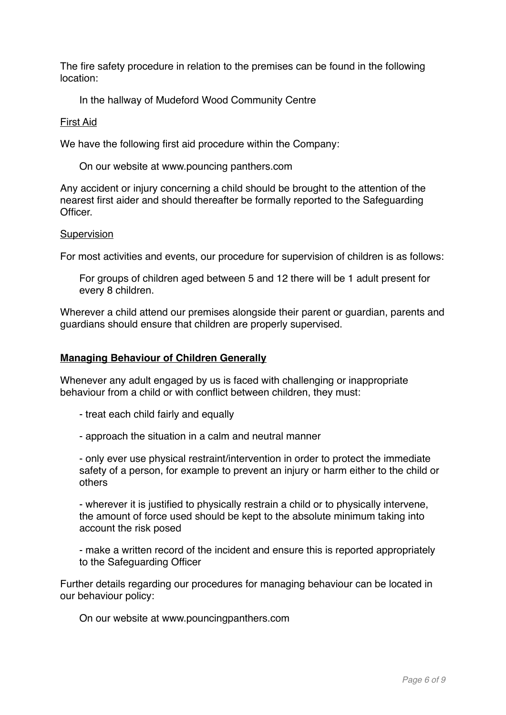The fire safety procedure in relation to the premises can be found in the following location:

In the hallway of Mudeford Wood Community Centre

#### First Aid

We have the following first aid procedure within the Company:

On our website at www.pouncing panthers.com

Any accident or injury concerning a child should be brought to the attention of the nearest first aider and should thereafter be formally reported to the Safeguarding **Officer** 

### Supervision

For most activities and events, our procedure for supervision of children is as follows:

For groups of children aged between 5 and 12 there will be 1 adult present for every 8 children.

Wherever a child attend our premises alongside their parent or guardian, parents and guardians should ensure that children are properly supervised.

### **Managing Behaviour of Children Generally**

Whenever any adult engaged by us is faced with challenging or inappropriate behaviour from a child or with conflict between children, they must:

- treat each child fairly and equally
- approach the situation in a calm and neutral manner

- only ever use physical restraint/intervention in order to protect the immediate safety of a person, for example to prevent an injury or harm either to the child or others

- wherever it is justified to physically restrain a child or to physically intervene, the amount of force used should be kept to the absolute minimum taking into account the risk posed

- make a written record of the incident and ensure this is reported appropriately to the Safeguarding Officer

Further details regarding our procedures for managing behaviour can be located in our behaviour policy:

On our website at www.pouncingpanthers.com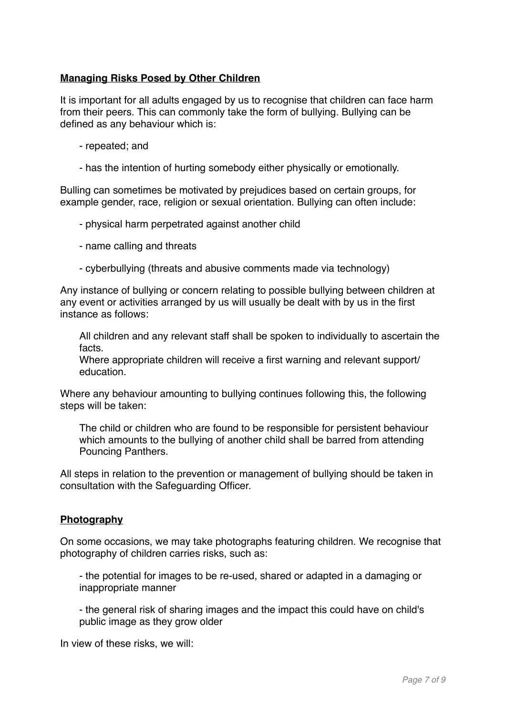# **Managing Risks Posed by Other Children**

It is important for all adults engaged by us to recognise that children can face harm from their peers. This can commonly take the form of bullying. Bullying can be defined as any behaviour which is:

- repeated; and
- has the intention of hurting somebody either physically or emotionally.

Bulling can sometimes be motivated by prejudices based on certain groups, for example gender, race, religion or sexual orientation. Bullying can often include:

- physical harm perpetrated against another child
- name calling and threats
- cyberbullying (threats and abusive comments made via technology)

Any instance of bullying or concern relating to possible bullying between children at any event or activities arranged by us will usually be dealt with by us in the first instance as follows:

All children and any relevant staff shall be spoken to individually to ascertain the facts.

Where appropriate children will receive a first warning and relevant support/ education.

Where any behaviour amounting to bullying continues following this, the following steps will be taken:

The child or children who are found to be responsible for persistent behaviour which amounts to the bullying of another child shall be barred from attending Pouncing Panthers.

All steps in relation to the prevention or management of bullying should be taken in consultation with the Safeguarding Officer.

## **Photography**

On some occasions, we may take photographs featuring children. We recognise that photography of children carries risks, such as:

- the potential for images to be re-used, shared or adapted in a damaging or inappropriate manner

- the general risk of sharing images and the impact this could have on child's public image as they grow older

In view of these risks, we will: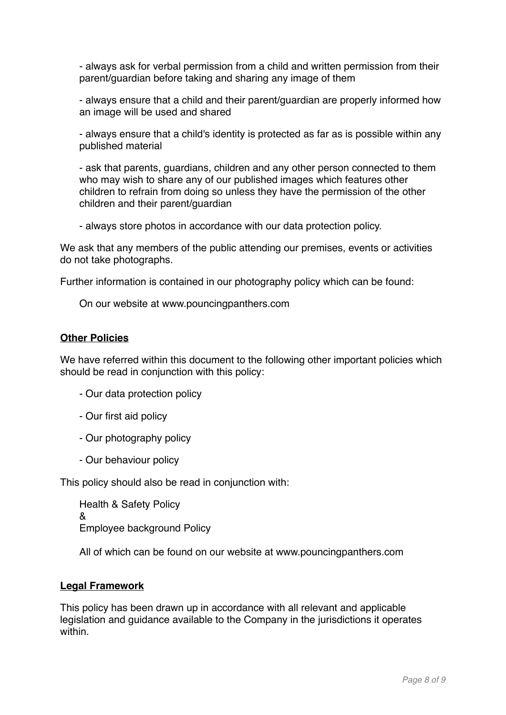- always ask for verbal permission from a child and written permission from their parent/guardian before taking and sharing any image of them

- always ensure that a child and their parent/guardian are properly informed how an image will be used and shared

- always ensure that a child's identity is protected as far as is possible within any published material

- ask that parents, guardians, children and any other person connected to them who may wish to share any of our published images which features other children to refrain from doing so unless they have the permission of the other children and their parent/guardian

- always store photos in accordance with our data protection policy.

We ask that any members of the public attending our premises, events or activities do not take photographs.

Further information is contained in our photography policy which can be found:

On our website at www.pouncingpanthers.com

## **Other Policies**

We have referred within this document to the following other important policies which should be read in conjunction with this policy:

- Our data protection policy
- Our first aid policy
- Our photography policy
- Our behaviour policy

This policy should also be read in conjunction with:

Health & Safety Policy & Employee background Policy

All of which can be found on our website at www.pouncingpanthers.com

#### **Legal Framework**

This policy has been drawn up in accordance with all relevant and applicable legislation and guidance available to the Company in the jurisdictions it operates within.